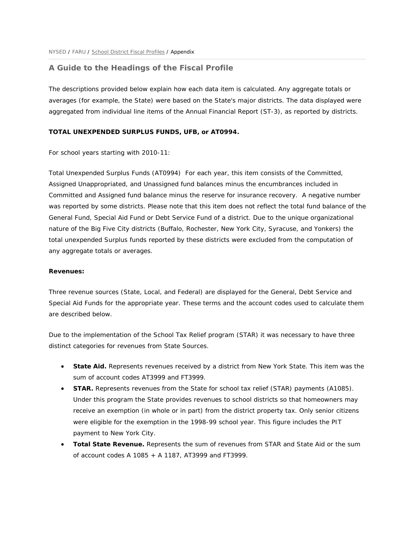# **A Guide to the Headings of the Fiscal Profile**

The descriptions provided below explain how each data item is calculated. Any aggregate totals or averages (for example, the State) were based on the State's major districts. The data displayed were aggregated from individual line items of the Annual Financial Report (ST-3), as reported by districts.

#### **TOTAL UNEXPENDED SURPLUS FUNDS, UFB, or AT0994.**

For school years starting with 2010-11:

Total Unexpended Surplus Funds (AT0994) For each year, this item consists of the Committed, Assigned Unappropriated, and Unassigned fund balances minus the encumbrances included in Committed and Assigned fund balance minus the reserve for insurance recovery. A negative number was reported by some districts. Please note that this item does not reflect the total fund balance of the General Fund, Special Aid Fund or Debt Service Fund of a district. Due to the unique organizational nature of the Big Five City districts (Buffalo, Rochester, New York City, Syracuse, and Yonkers) the total unexpended Surplus funds reported by these districts were excluded from the computation of any aggregate totals or averages.

#### **Revenues:**

are described below. Three revenue sources (State, Local, and Federal) are displayed for the General, Debt Service and Special Aid Funds for the appropriate year. These terms and the account codes used to calculate them

Due to the implementation of the School Tax Relief program (STAR) it was necessary to have three distinct categories for revenues from State Sources.

- **State Aid.** Represents revenues received by a district from New York State. This item was the sum of account codes AT3999 and FT3999.
- **STAR.** Represents revenues from the State for school tax relief (STAR) payments (A1085). Under this program the State provides revenues to school districts so that homeowners may receive an exemption (in whole or in part) from the district property tax. Only senior citizens were eligible for the exemption in the 1998-99 school year. This figure includes the PIT payment to New York City.
- **Total State Revenue.** Represents the sum of revenues from STAR and State Aid or the sum of account codes A 1085 + A 1187, AT3999 and FT3999.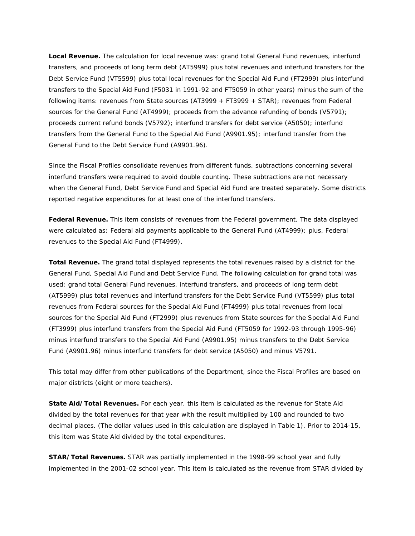**Local Revenue.** The calculation for local revenue was: grand total General Fund revenues, interfund transfers, and proceeds of long term debt (AT5999) plus total revenues and interfund transfers for the Debt Service Fund (VT5599) plus total local revenues for the Special Aid Fund (FT2999) plus interfund transfers to the Special Aid Fund (F5031 in 1991-92 and FT5059 in other years) minus the sum of the following items: revenues from State sources (AT3999 + FT3999 + STAR); revenues from Federal sources for the General Fund (AT4999); proceeds from the advance refunding of bonds (V5791); proceeds current refund bonds (V5792); interfund transfers for debt service (A5050); interfund transfers from the General Fund to the Special Aid Fund (A9901.95); interfund transfer from the General Fund to the Debt Service Fund (A9901.96).

Since the Fiscal Profiles consolidate revenues from different funds, subtractions concerning several interfund transfers were required to avoid double counting. These subtractions are not necessary when the General Fund, Debt Service Fund and Special Aid Fund are treated separately. Some districts reported negative expenditures for at least one of the interfund transfers.

 were calculated as: Federal aid payments applicable to the General Fund (AT4999); plus, Federal **Federal Revenue.** This item consists of revenues from the Federal government. The data displayed revenues to the Special Aid Fund (FT4999).

**Total Revenue.** The grand total displayed represents the total revenues raised by a district for the General Fund, Special Aid Fund and Debt Service Fund. The following calculation for grand total was used: grand total General Fund revenues, interfund transfers, and proceeds of long term debt (AT5999) plus total revenues and interfund transfers for the Debt Service Fund (VT5599) plus total revenues from Federal sources for the Special Aid Fund (FT4999) plus total revenues from local sources for the Special Aid Fund (FT2999) plus revenues from State sources for the Special Aid Fund (FT3999) plus interfund transfers from the Special Aid Fund (FT5059 for 1992-93 through 1995-96) minus interfund transfers to the Special Aid Fund (A9901.95) minus transfers to the Debt Service Fund (A9901.96) minus interfund transfers for debt service (A5050) and minus V5791.

 This total may differ from other publications of the Department, since the Fiscal Profiles are based on major districts (eight or more teachers).

**State Aid/Total Revenues.** For each year, this item is calculated as the revenue for State Aid divided by the total revenues for that year with the result multiplied by 100 and rounded to two decimal places. (The dollar values used in this calculation are displayed in Table 1). Prior to 2014-15, this item was State Aid divided by the total expenditures.

 implemented in the 2001-02 school year. This item is calculated as the revenue from STAR divided by **STAR/Total Revenues.** STAR was partially implemented in the 1998-99 school year and fully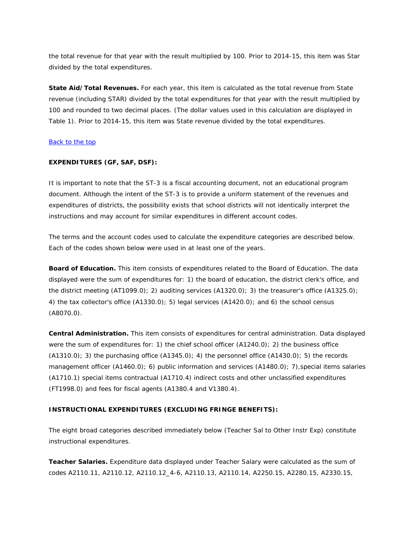the total revenue for that year with the result multiplied by 100. Prior to 2014-15, this item was Star divided by the total expenditures.

**State Aid/Total Revenues.** For each year, this item is calculated as the total revenue from State revenue (including STAR) divided by the total expenditures for that year with the result multiplied by 100 and rounded to two decimal places. (The dollar values used in this calculation are displayed in Table 1). Prior to 2014-15, this item was State revenue divided by the total expenditures.

### Back to the top

### **EXPENDITURES (GF, SAF, DSF):**

It is important to note that the ST-3 is a fiscal accounting document, not an educational program document. Although the intent of the ST-3 is to provide a uniform statement of the revenues and expenditures of districts, the possibility exists that school districts will not identically interpret the instructions and may account for similar expenditures in different account codes.

The terms and the account codes used to calculate the expenditure categories are described below. Each of the codes shown below were used in at least one of the years.

**Board of Education.** This item consists of expenditures related to the Board of Education. The data displayed were the sum of expenditures for: 1) the board of education, the district clerk's office, and the district meeting (AT1099.0); 2) auditing services (A1320.0); 3) the treasurer's office (A1325.0); 4) the tax collector's office (A1330.0); 5) legal services (A1420.0); and 6) the school census (A8070.0).

 **Central Administration.** This item consists of expenditures for central administration. Data displayed were the sum of expenditures for: 1) the chief school officer (A1240.0); 2) the business office  $(A1310.0)$ ; 3) the purchasing office  $(A1345.0)$ ; 4) the personnel office  $(A1430.0)$ ; 5) the records management officer (A1460.0); 6) public information and services (A1480.0); 7), special items salaries (A1710.1) special items contractual (A1710.4) indirect costs and other unclassified expenditures (FT1998.0) and fees for fiscal agents (A1380.4 and V1380.4).

## **INSTRUCTIONAL EXPENDITURES (EXCLUDING FRINGE BENEFITS):**

The eight broad categories described immediately below (Teacher Sal to Other Instr Exp) constitute instructional expenditures.

**Teacher Salaries.** Expenditure data displayed under Teacher Salary were calculated as the sum of codes A2110.11, A2110.12, A2110.12\_4-6, A2110.13, A2110.14, A2250.15, A2280.15, A2330.15,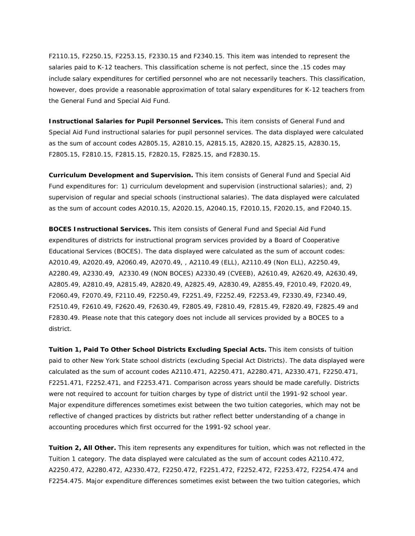F2110.15, F2250.15, F2253.15, F2330.15 and F2340.15. This item was intended to represent the salaries paid to K-12 teachers. This classification scheme is not perfect, since the .15 codes may include salary expenditures for certified personnel who are not necessarily teachers. This classification, however, does provide a reasonable approximation of total salary expenditures for K-12 teachers from the General Fund and Special Aid Fund.

**Instructional Salaries for Pupil Personnel Services.** This item consists of General Fund and Special Aid Fund instructional salaries for pupil personnel services. The data displayed were calculated as the sum of account codes A2805.15, A2810.15, A2815.15, A2820.15, A2825.15, A2830.15, F2805.15, F2810.15, F2815.15, F2820.15, F2825.15, and F2830.15.

**Curriculum Development and Supervision.** This item consists of General Fund and Special Aid Fund expenditures for: 1) curriculum development and supervision (instructional salaries); and, 2) supervision of regular and special schools (instructional salaries). The data displayed were calculated as the sum of account codes A2010.15, A2020.15, A2040.15, F2010.15, F2020.15, and F2040.15.

**BOCES Instructional Services.** This item consists of General Fund and Special Aid Fund expenditures of districts for instructional program services provided by a Board of Cooperative Educational Services (BOCES). The data displayed were calculated as the sum of account codes: A2010.49, A2020.49, A2060.49, A2070.49, , A2110.49 (ELL), A2110.49 (Non ELL), A2250.49, A2280.49, A2330.49, A2330.49 (NON BOCES) A2330.49 (CVEEB), A2610.49, A2620.49, A2630.49, A2805.49, A2810.49, A2815.49, A2820.49, A2825.49, A2830.49, A2855.49, F2010.49, F2020.49, F2060.49, F2070.49, F2110.49, F2250.49, F2251.49, F2252.49, F2253.49, F2330.49, F2340.49, F2510.49, F2610.49, F2620.49, F2630.49, F2805.49, F2810.49, F2815.49, F2820.49, F2825.49 and F2830.49. Please note that this category does not include all services provided by a BOCES to a district.

**Tuition 1, Paid To Other School Districts Excluding Special Acts.** This item consists of tuition paid to other New York State school districts (excluding Special Act Districts). The data displayed were calculated as the sum of account codes A2110.471, A2250.471, A2280.471, A2330.471, F2250.471, F2251.471, F2252.471, and F2253.471. Comparison across years should be made carefully. Districts were not required to account for tuition charges by type of district until the 1991-92 school year. Major expenditure differences sometimes exist between the two tuition categories, which may not be reflective of changed practices by districts but rather reflect better understanding of a change in accounting procedures which first occurred for the 1991-92 school year.

 **Tuition 2, All Other.** This item represents any expenditures for tuition, which was not reflected in the Tuition 1 category. The data displayed were calculated as the sum of account codes A2110.472, A2250.472, A2280.472, A2330.472, F2250.472, F2251.472, F2252.472, F2253.472, F2254.474 and F2254.475. Major expenditure differences sometimes exist between the two tuition categories, which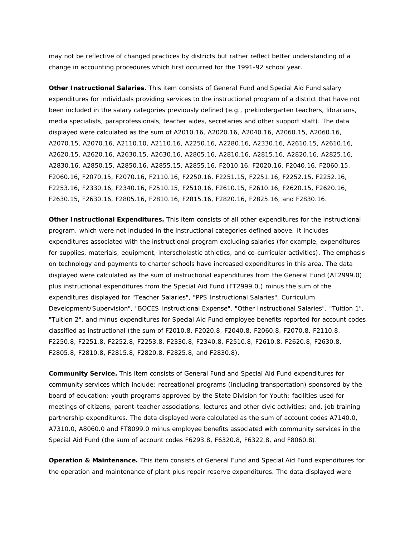may not be reflective of changed practices by districts but rather reflect better understanding of a change in accounting procedures which first occurred for the 1991-92 school year.

**Other Instructional Salaries.** This item consists of General Fund and Special Aid Fund salary expenditures for individuals providing services to the instructional program of a district that have not been included in the salary categories previously defined (e.g., prekindergarten teachers, librarians, media specialists, paraprofessionals, teacher aides, secretaries and other support staff). The data displayed were calculated as the sum of A2010.16, A2020.16, A2040.16, A2060.15, A2060.16, A2070.15, A2070.16, A2110.10, A2110.16, A2250.16, A2280.16, A2330.16, A2610.15, A2610.16, A2620.15, A2620.16, A2630.15, A2630.16, A2805.16, A2810.16, A2815.16, A2820.16, A2825.16, A2830.16, A2850.15, A2850.16, A2855.15, A2855.16, F2010.16, F2020.16, F2040.16, F2060.15, F2060.16, F2070.15, F2070.16, F2110.16, F2250.16, F2251.15, F2251.16, F2252.15, F2252.16, F2253.16, F2330.16, F2340.16, F2510.15, F2510.16, F2610.15, F2610.16, F2620.15, F2620.16, F2630.15, F2630.16, F2805.16, F2810.16, F2815.16, F2820.16, F2825.16, and F2830.16.

**Other Instructional Expenditures.** This item consists of all other expenditures for the instructional program, which were not included in the instructional categories defined above. It includes expenditures associated with the instructional program excluding salaries (for example, expenditures for supplies, materials, equipment, interscholastic athletics, and co-curricular activities). The emphasis on technology and payments to charter schools have increased expenditures in this area. The data displayed were calculated as the sum of instructional expenditures from the General Fund (AT2999.0) plus instructional expenditures from the Special Aid Fund (FT2999.0,) minus the sum of the expenditures displayed for "Teacher Salaries", "PPS Instructional Salaries", Curriculum Development/Supervision", "BOCES Instructional Expense", "Other Instructional Salaries", "Tuition 1", "Tuition 2", and minus expenditures for Special Aid Fund employee benefits reported for account codes classified as instructional (the sum of F2010.8, F2020.8, F2040.8, F2060.8, F2070.8, F2110.8, F2250.8, F2251.8, F2252.8, F2253.8, F2330.8, F2340.8, F2510.8, F2610.8, F2620.8, F2630.8, F2805.8, F2810.8, F2815.8, F2820.8, F2825.8, and F2830.8).

**Community Service.** This item consists of General Fund and Special Aid Fund expenditures for community services which include: recreational programs (including transportation) sponsored by the board of education; youth programs approved by the State Division for Youth; facilities used for meetings of citizens, parent-teacher associations, lectures and other civic activities; and, job training partnership expenditures. The data displayed were calculated as the sum of account codes A7140.0, A7310.0, A8060.0 and FT8099.0 minus employee benefits associated with community services in the Special Aid Fund (the sum of account codes F6293.8, F6320.8, F6322.8, and F8060.8).

 **Operation & Maintenance.** This item consists of General Fund and Special Aid Fund expenditures for the operation and maintenance of plant plus repair reserve expenditures. The data displayed were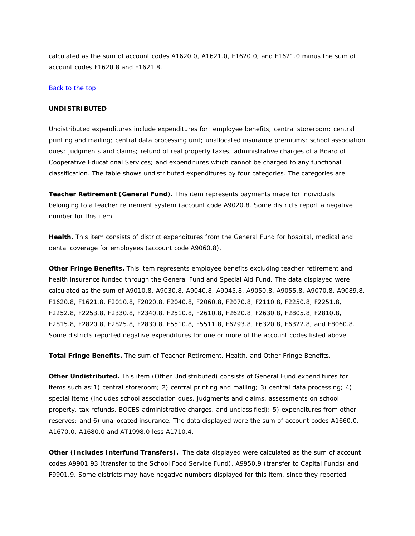calculated as the sum of account codes A1620.0, A1621.0, F1620.0, and F1621.0 minus the sum of account codes F1620.8 and F1621.8.

### Back to the top

# **UNDISTRIBUTED**

Undistributed expenditures include expenditures for: employee benefits; central storeroom; central printing and mailing; central data processing unit; unallocated insurance premiums; school association dues; judgments and claims; refund of real property taxes; administrative charges of a Board of Cooperative Educational Services; and expenditures which cannot be charged to any functional classification. The table shows undistributed expenditures by four categories. The categories are:

**Teacher Retirement (General Fund).** This item represents payments made for individuals belonging to a teacher retirement system (account code A9020.8. Some districts report a negative number for this item.

**Health.** This item consists of district expenditures from the General Fund for hospital, medical and dental coverage for employees (account code A9060.8).

**Other Fringe Benefits.** This item represents employee benefits excluding teacher retirement and health insurance funded through the General Fund and Special Aid Fund. The data displayed were calculated as the sum of A9010.8, A9030.8, A9040.8, A9045.8, A9050.8, A9055.8, A9070.8, A9089.8, F1620.8, F1621.8, F2010.8, F2020.8, F2040.8, F2060.8, F2070.8, F2110.8, F2250.8, F2251.8, F2252.8, F2253.8, F2330.8, F2340.8, F2510.8, F2610.8, F2620.8, F2630.8, F2805.8, F2810.8, F2815.8, F2820.8, F2825.8, F2830.8, F5510.8, F5511.8, F6293.8, F6320.8, F6322.8, and F8060.8. Some districts reported negative expenditures for one or more of the account codes listed above.

**Total Fringe Benefits.** The sum of Teacher Retirement, Health, and Other Fringe Benefits.

**Other Undistributed.** This item (Other Undistributed) consists of General Fund expenditures for items such as:1) central storeroom; 2) central printing and mailing; 3) central data processing; 4) special items (includes school association dues, judgments and claims, assessments on school property, tax refunds, BOCES administrative charges, and unclassified); 5) expenditures from other reserves; and 6) unallocated insurance. The data displayed were the sum of account codes A1660.0, A1670.0, A1680.0 and AT1998.0 less A1710.4.

**Other (Includes Interfund Transfers).** The data displayed were calculated as the sum of account codes A9901.93 (transfer to the School Food Service Fund), A9950.9 (transfer to Capital Funds) and F9901.9. Some districts may have negative numbers displayed for this item, since they reported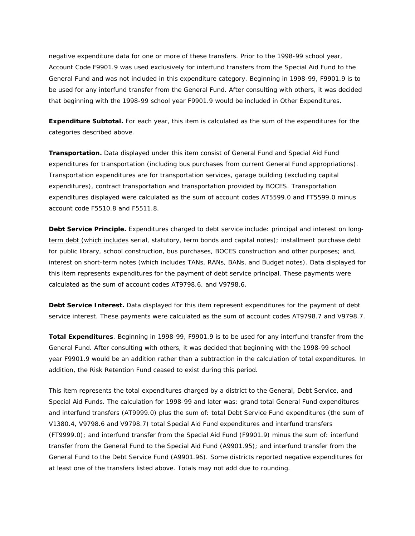negative expenditure data for one or more of these transfers. Prior to the 1998-99 school year, Account Code F9901.9 was used exclusively for interfund transfers from the Special Aid Fund to the General Fund and was not included in this expenditure category. Beginning in 1998-99, F9901.9 is to be used for any interfund transfer from the General Fund. After consulting with others, it was decided that beginning with the 1998-99 school year F9901.9 would be included in Other Expenditures.

**Expenditure Subtotal.** For each year, this item is calculated as the sum of the expenditures for the categories described above.

**Transportation.** Data displayed under this item consist of General Fund and Special Aid Fund expenditures for transportation (including bus purchases from current General Fund appropriations). Transportation expenditures are for transportation services, garage building (excluding capital expenditures), contract transportation and transportation provided by BOCES. Transportation expenditures displayed were calculated as the sum of account codes AT5599.0 and FT5599.0 minus account code F5510.8 and F5511.8.

**Debt Service Principle.** Expenditures charged to debt service include: principal and interest on longterm debt (which includes serial, statutory, term bonds and capital notes); installment purchase debt for public library, school construction, bus purchases, BOCES construction and other purposes; and, interest on short-term notes (which includes TANs, RANs, BANs, and Budget notes). Data displayed for this item represents expenditures for the payment of debt service principal. These payments were calculated as the sum of account codes AT9798.6, and V9798.6.

**Debt Service Interest.** Data displayed for this item represent expenditures for the payment of debt service interest. These payments were calculated as the sum of account codes AT9798.7 and V9798.7.

**Total Expenditures**. Beginning in 1998-99, F9901.9 is to be used for any interfund transfer from the General Fund. After consulting with others, it was decided that beginning with the 1998-99 school year F9901.9 would be an addition rather than a subtraction in the calculation of total expenditures. In addition, the Risk Retention Fund ceased to exist during this period.

This item represents the total expenditures charged by a district to the General, Debt Service, and Special Aid Funds. The calculation for 1998-99 and later was: grand total General Fund expenditures and interfund transfers (AT9999.0) plus the sum of: total Debt Service Fund expenditures (the sum of V1380.4, V9798.6 and V9798.7) total Special Aid Fund expenditures and interfund transfers (FT9999.0); and interfund transfer from the Special Aid Fund (F9901.9) minus the sum of: interfund transfer from the General Fund to the Special Aid Fund (A9901.95); and interfund transfer from the General Fund to the Debt Service Fund (A9901.96). Some districts reported negative expenditures for at least one of the transfers listed above. Totals may not add due to rounding.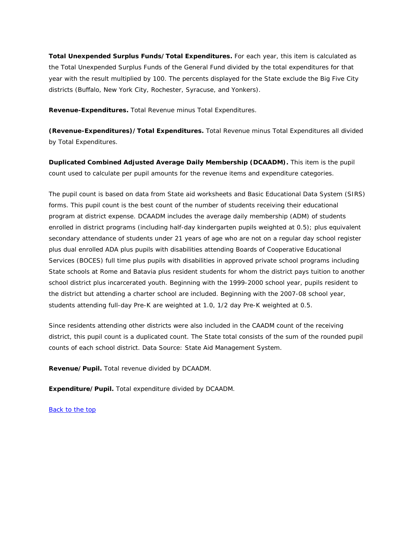**Total Unexpended Surplus Funds/Total Expenditures.** For each year, this item is calculated as the Total Unexpended Surplus Funds of the General Fund divided by the total expenditures for that year with the result multiplied by 100. The percents displayed for the State exclude the Big Five City districts (Buffalo, New York City, Rochester, Syracuse, and Yonkers).

**Revenue-Expenditures.** Total Revenue minus Total Expenditures.

**(Revenue-Expenditures)/Total Expenditures.** Total Revenue minus Total Expenditures all divided by Total Expenditures.

 **Duplicated Combined Adjusted Average Daily Membership (DCAADM).** This item is the pupil count used to calculate per pupil amounts for the revenue items and expenditure categories.

The pupil count is based on data from State aid worksheets and Basic Educational Data System (SIRS) forms. This pupil count is the best count of the number of students receiving their educational program at district expense. DCAADM includes the average daily membership (ADM) of students enrolled in district programs (including half-day kindergarten pupils weighted at 0.5); plus equivalent secondary attendance of students under 21 years of age who are not on a regular day school register plus dual enrolled ADA plus pupils with disabilities attending Boards of Cooperative Educational Services (BOCES) full time plus pupils with disabilities in approved private school programs including State schools at Rome and Batavia plus resident students for whom the district pays tuition to another school district plus incarcerated youth. Beginning with the 1999-2000 school year, pupils resident to the district but attending a charter school are included. Beginning with the 2007-08 school year, students attending full-day Pre-K are weighted at 1.0, 1/2 day Pre-K weighted at 0.5.

Since residents attending other districts were also included in the CAADM count of the receiving district, this pupil count is a duplicated count. The State total consists of the sum of the rounded pupil counts of each school district. Data Source: State Aid Management System.

**Revenue/Pupil.** Total revenue divided by DCAADM.

**Expenditure/Pupil.** Total expenditure divided by DCAADM.

Back to the top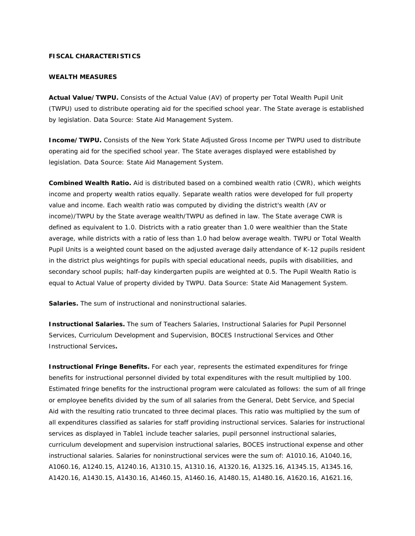## **FISCAL CHARACTERISTICS**

#### **WEALTH MEASURES**

 **Actual Value/TWPU.** Consists of the Actual Value (AV) of property per Total Wealth Pupil Unit (TWPU) used to distribute operating aid for the specified school year. The State average is established by legislation. Data Source: State Aid Management System.

**Income/TWPU.** Consists of the New York State Adjusted Gross Income per TWPU used to distribute operating aid for the specified school year. The State averages displayed were established by legislation. Data Source: State Aid Management System.

 Pupil Units is a weighted count based on the adjusted average daily attendance of K-12 pupils resident **Combined Wealth Ratio.** Aid is distributed based on a combined wealth ratio (CWR), which weights income and property wealth ratios equally. Separate wealth ratios were developed for full property value and income. Each wealth ratio was computed by dividing the district's wealth (AV or income)/TWPU by the State average wealth/TWPU as defined in law. The State average CWR is defined as equivalent to 1.0. Districts with a ratio greater than 1.0 were wealthier than the State average, while districts with a ratio of less than 1.0 had below average wealth. TWPU or Total Wealth in the district plus weightings for pupils with special educational needs, pupils with disabilities, and secondary school pupils; half-day kindergarten pupils are weighted at 0.5. The Pupil Wealth Ratio is equal to Actual Value of property divided by TWPU. Data Source: State Aid Management System.

**Salaries.** The sum of instructional and noninstructional salaries.

**Instructional Salaries.** The sum of Teachers Salaries, Instructional Salaries for Pupil Personnel Services, Curriculum Development and Supervision, BOCES Instructional Services and Other Instructional Services**.** 

**Instructional Fringe Benefits.** For each year, represents the estimated expenditures for fringe benefits for instructional personnel divided by total expenditures with the result multiplied by 100. Estimated fringe benefits for the instructional program were calculated as follows: the sum of all fringe or employee benefits divided by the sum of all salaries from the General, Debt Service, and Special Aid with the resulting ratio truncated to three decimal places. This ratio was multiplied by the sum of all expenditures classified as salaries for staff providing instructional services. Salaries for instructional services as displayed in Table1 include teacher salaries, pupil personnel instructional salaries, curriculum development and supervision instructional salaries, BOCES instructional expense and other instructional salaries. Salaries for noninstructional services were the sum of: A1010.16, A1040.16, A1060.16, A1240.15, A1240.16, A1310.15, A1310.16, A1320.16, A1325.16, A1345.15, A1345.16, A1420.16, A1430.15, A1430.16, A1460.15, A1460.16, A1480.15, A1480.16, A1620.16, A1621.16,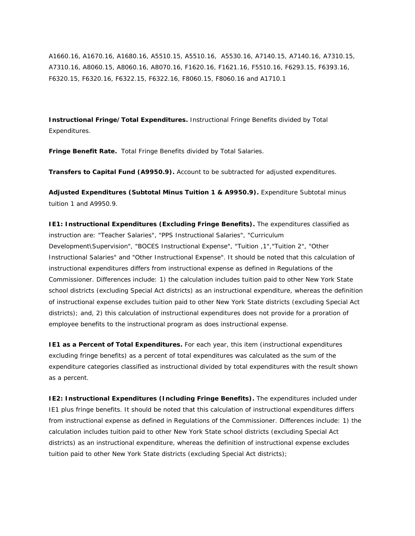A1660.16, A1670.16, A1680.16, A5510.15, A5510.16, A5530.16, A7140.15, A7140.16, A7310.15, A7310.16, A8060.15, A8060.16, A8070.16, F1620.16, F1621.16, F5510.16, F6293.15, F6393.16, F6320.15, F6320.16, F6322.15, F6322.16, F8060.15, F8060.16 and A1710.1

**Instructional Fringe/Total Expenditures.** Instructional Fringe Benefits divided by Total Expenditures.

**Fringe Benefit Rate.** Total Fringe Benefits divided by Total Salaries.

**Transfers to Capital Fund (A9950.9).** Account to be subtracted for adjusted expenditures.

**Adjusted Expenditures (Subtotal Minus Tuition 1 & A9950.9).** Expenditure Subtotal minus tuition 1 and A9950.9.

**IE1: Instructional Expenditures (Excluding Fringe Benefits).** The expenditures classified as instruction are: "Teacher Salaries", "PPS Instructional Salaries", "Curriculum Development\Supervision", "BOCES Instructional Expense", "Tuition ,1","Tuition 2", "Other Instructional Salaries" and "Other Instructional Expense". It should be noted that this calculation of instructional expenditures differs from instructional expense as defined in Regulations of the Commissioner. Differences include: 1) the calculation includes tuition paid to other New York State school districts (excluding Special Act districts) as an instructional expenditure, whereas the definition of instructional expense excludes tuition paid to other New York State districts (excluding Special Act districts); and, 2) this calculation of instructional expenditures does not provide for a proration of employee benefits to the instructional program as does instructional expense.

**IE1 as a Percent of Total Expenditures.** For each year, this item (instructional expenditures excluding fringe benefits) as a percent of total expenditures was calculated as the sum of the expenditure categories classified as instructional divided by total expenditures with the result shown as a percent.

 calculation includes tuition paid to other New York State school districts (excluding Special Act tuition paid to other New York State districts (excluding Special Act districts); **IE2: Instructional Expenditures (Including Fringe Benefits).** The expenditures included under IE1 plus fringe benefits. It should be noted that this calculation of instructional expenditures differs from instructional expense as defined in Regulations of the Commissioner. Differences include: 1) the districts) as an instructional expenditure, whereas the definition of instructional expense excludes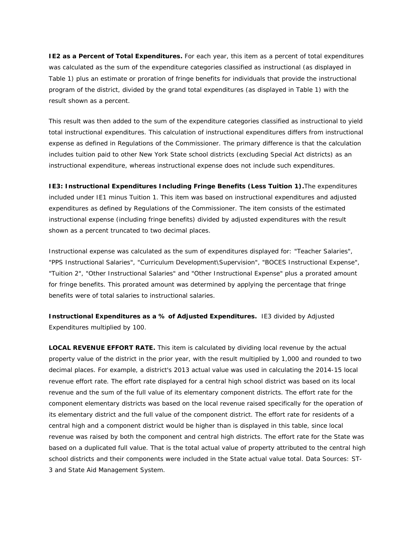**IE2 as a Percent of Total Expenditures.** For each year, this item as a percent of total expenditures was calculated as the sum of the expenditure categories classified as instructional (as displayed in Table 1) plus an estimate or proration of fringe benefits for individuals that provide the instructional program of the district, divided by the grand total expenditures (as displayed in Table 1) with the result shown as a percent.

This result was then added to the sum of the expenditure categories classified as instructional to yield total instructional expenditures. This calculation of instructional expenditures differs from instructional expense as defined in Regulations of the Commissioner. The primary difference is that the calculation includes tuition paid to other New York State school districts (excluding Special Act districts) as an instructional expenditure, whereas instructional expense does not include such expenditures.

**IE3: Instructional Expenditures Including Fringe Benefits (Less Tuition 1).**The expenditures included under IE1 minus Tuition 1. This item was based on instructional expenditures and adjusted expenditures as defined by Regulations of the Commissioner. The item consists of the estimated instructional expense (including fringe benefits) divided by adjusted expenditures with the result shown as a percent truncated to two decimal places.

Instructional expense was calculated as the sum of expenditures displayed for: "Teacher Salaries", "PPS Instructional Salaries", "Curriculum Development\Supervision", "BOCES Instructional Expense", "Tuition 2", "Other Instructional Salaries" and "Other Instructional Expense" plus a prorated amount for fringe benefits. This prorated amount was determined by applying the percentage that fringe benefits were of total salaries to instructional salaries.

**Instructional Expenditures as a % of Adjusted Expenditures.** IE3 divided by Adjusted Expenditures multiplied by 100.

 **LOCAL REVENUE EFFORT RATE.** This item is calculated by dividing local revenue by the actual property value of the district in the prior year, with the result multiplied by 1,000 and rounded to two decimal places. For example, a district's 2013 actual value was used in calculating the 2014-15 local revenue effort rate. The effort rate displayed for a central high school district was based on its local revenue and the sum of the full value of its elementary component districts. The effort rate for the component elementary districts was based on the local revenue raised specifically for the operation of its elementary district and the full value of the component district. The effort rate for residents of a central high and a component district would be higher than is displayed in this table, since local revenue was raised by both the component and central high districts. The effort rate for the State was based on a duplicated full value. That is the total actual value of property attributed to the central high school districts and their components were included in the State actual value total. Data Sources: ST-3 and State Aid Management System.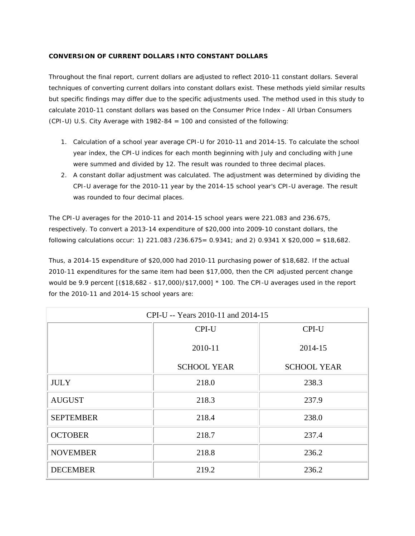# **CONVERSION OF CURRENT DOLLARS INTO CONSTANT DOLLARS**

Throughout the final report, current dollars are adjusted to reflect 2010-11 constant dollars. Several techniques of converting current dollars into constant dollars exist. These methods yield similar results but specific findings may differ due to the specific adjustments used. The method used in this study to calculate 2010-11 constant dollars was based on the Consumer Price Index - All Urban Consumers (CPI-U) U.S. City Average with 1982-84 = 100 and consisted of the following:

- 1. Calculation of a school year average CPI-U for 2010-11 and 2014-15. To calculate the school year index, the CPI-U indices for each month beginning with July and concluding with June were summed and divided by 12. The result was rounded to three decimal places.
- 2. A constant dollar adjustment was calculated. The adjustment was determined by dividing the CPI-U average for the 2010-11 year by the 2014-15 school year's CPI-U average. The result was rounded to four decimal places.

The CPI-U averages for the 2010-11 and 2014-15 school years were 221.083 and 236.675, respectively. To convert a 2013-14 expenditure of \$20,000 into 2009-10 constant dollars, the following calculations occur: 1) 221.083 / 236.675 =  $0.9341$ ; and 2) 0.9341 X \$20,000 = \$18,682.

Thus, a 2014-15 expenditure of \$20,000 had 2010-11 purchasing power of \$18,682. If the actual 2010-11 expenditures for the same item had been \$17,000, then the CPI adjusted percent change would be 9.9 percent [(\$18,682 - \$17,000)/\$17,000] \* 100. The CPI-U averages used in the report for the 2010-11 and 2014-15 school years are:

| CPI-U -- Years 2010-11 and 2014-15 |                    |                    |  |
|------------------------------------|--------------------|--------------------|--|
|                                    | CPI-U              | CPI-U              |  |
|                                    | 2010-11            | 2014-15            |  |
|                                    | <b>SCHOOL YEAR</b> | <b>SCHOOL YEAR</b> |  |
| <b>JULY</b>                        | 218.0              | 238.3              |  |
| <b>AUGUST</b>                      | 218.3              | 237.9              |  |
| <b>SEPTEMBER</b>                   | 218.4              | 238.0              |  |
| <b>OCTOBER</b>                     | 218.7              | 237.4              |  |
| <b>NOVEMBER</b>                    | 218.8              | 236.2              |  |
| <b>DECEMBER</b>                    | 219.2              | 236.2              |  |